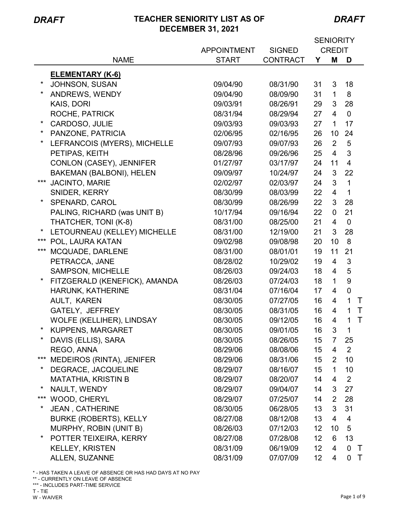*DRAFT*

|          |                               |                    |                 | <b>SENIORITY</b> |                |                |              |
|----------|-------------------------------|--------------------|-----------------|------------------|----------------|----------------|--------------|
|          |                               | <b>APPOINTMENT</b> | <b>SIGNED</b>   | <b>CREDIT</b>    |                |                |              |
|          | <b>NAME</b>                   | <b>START</b>       | <b>CONTRACT</b> | Υ                | M              | D              |              |
|          | <b>ELEMENTARY (K-6)</b>       |                    |                 |                  |                |                |              |
|          | JOHNSON, SUSAN                | 09/04/90           | 08/31/90        | 31               | 3              | 18             |              |
| *        | ANDREWS, WENDY                | 09/04/90           | 08/09/90        | 31               | $\mathbf{1}$   | 8              |              |
|          | KAIS, DORI                    | 09/03/91           | 08/26/91        | 29               | 3              | 28             |              |
|          | <b>ROCHE, PATRICK</b>         | 08/31/94           | 08/29/94        | 27               | 4              | $\mathbf 0$    |              |
|          | CARDOSO, JULIE                | 09/03/93           | 09/03/93        | 27               | $\mathbf{1}$   | 17             |              |
| $\star$  | PANZONE, PATRICIA             | 02/06/95           | 02/16/95        | 26               | 10             | 24             |              |
|          | LEFRANCOIS (MYERS), MICHELLE  | 09/07/93           | 09/07/93        | 26               | $\overline{2}$ | 5              |              |
|          | PETIPAS, KEITH                | 08/28/96           | 09/26/96        | 25               | $\overline{4}$ | 3              |              |
|          | CONLON (CASEY), JENNIFER      | 01/27/97           | 03/17/97        | 24               | 11             | $\overline{4}$ |              |
|          | BAKEMAN (BALBONI), HELEN      | 09/09/97           | 10/24/97        | 24               | 3              | 22             |              |
| ***      | <b>JACINTO, MARIE</b>         | 02/02/97           | 02/03/97        | 24               | 3              | $\mathbf{1}$   |              |
|          | SNIDER, KERRY                 | 08/30/99           | 08/03/99        | 22               | $\overline{4}$ | $\mathbf{1}$   |              |
|          | SPENARD, CAROL                | 08/30/99           | 08/26/99        | 22               | 3              | 28             |              |
|          | PALING, RICHARD (was UNIT B)  | 10/17/94           | 09/16/94        | 22               | $\mathbf{0}$   | 21             |              |
|          | THATCHER, TONI (K-8)          | 08/31/00           | 08/25/00        | 21               | 4              | $\overline{0}$ |              |
|          | LETOURNEAU (KELLEY) MICHELLE  | 08/31/00           | 12/19/00        | 21               | 3              | 28             |              |
| ***      | POL, LAURA KATAN              | 09/02/98           | 09/08/98        | 20               | 10             | 8              |              |
| ***      | MCQUADE, DARLENE              | 08/31/00           | 08/01/01        | 19               | 11             | 21             |              |
|          | PETRACCA, JANE                | 08/28/02           | 10/29/02        | 19               | 4              | 3              |              |
|          | <b>SAMPSON, MICHELLE</b>      | 08/26/03           | 09/24/03        | 18               | 4              | 5              |              |
| *        | FITZGERALD (KENEFICK), AMANDA | 08/26/03           | 07/24/03        | 18               | $\mathbf{1}$   | 9              |              |
|          | HARUNK, KATHERINE             | 08/31/04           | 07/16/04        | 17               | 4              | $\mathbf 0$    |              |
|          | AULT, KAREN                   | 08/30/05           | 07/27/05        | 16               | 4              | $\mathbf{1}$   | T            |
|          | GATELY, JEFFREY               | 08/30/05           | 08/31/05        | 16               | $\overline{4}$ | $\mathbf{1}$   | $\mathsf{T}$ |
|          | WOLFE (KELLIHER), LINDSAY     | 08/30/05           | 09/12/05        | 16               | 4              | 1              | $\mathsf{T}$ |
| $^\star$ | KUPPENS, MARGARET             | 08/30/05           | 09/01/05        | 16               | 3              | $\mathbf 1$    |              |
| $^\star$ | DAVIS (ELLIS), SARA           | 08/30/05           | 08/26/05        | 15               | $\overline{7}$ | 25             |              |
|          | REGO, ANNA                    | 08/29/06           | 08/08/06        | 15               | 4              | 2              |              |
| ***      | MEDEIROS (RINTA), JENIFER     | 08/29/06           | 08/31/06        | 15 <sub>15</sub> | $\overline{2}$ | 10             |              |
| *        | DEGRACE, JACQUELINE           | 08/29/07           | 08/16/07        | 15               | $\mathbf 1$    | 10             |              |
|          | <b>MATATHIA, KRISTIN B</b>    | 08/29/07           | 08/20/07        | 14               | 4              | 2              |              |
| $\ast$   | NAULT, WENDY                  | 08/29/07           | 09/04/07        | 14               | 3              | 27             |              |
| ***      | WOOD, CHERYL                  | 08/29/07           | 07/25/07        | 14               | $\overline{2}$ | 28             |              |
|          | <b>JEAN, CATHERINE</b>        | 08/30/05           | 06/28/05        | 13               | 3              | 31             |              |
|          | <b>BURKE (ROBERTS), KELLY</b> | 08/27/08           | 08/12/08        | 13               | 4              | 4              |              |
|          | MURPHY, ROBIN (UNIT B)        | 08/26/03           | 07/12/03        | 12 <sup>2</sup>  | 10             | 5              |              |
|          | POTTER TEIXEIRA, KERRY        | 08/27/08           | 07/28/08        | 12 <sub>2</sub>  | 6              | 13             |              |
|          | <b>KELLEY, KRISTEN</b>        | 08/31/09           | 06/19/09        | 12 <sub>2</sub>  | 4              | 0              | $\top$       |
|          | ALLEN, SUZANNE                | 08/31/09           | 07/07/09        | 12 <sub>2</sub>  | 4              | 0              | $\top$       |
|          |                               |                    |                 |                  |                |                |              |

\* - HAS TAKEN A LEAVE OF ABSENCE OR HAS HAD DAYS AT NO PAY

\*\* - CURRENTLY ON LEAVE OF ABSENCE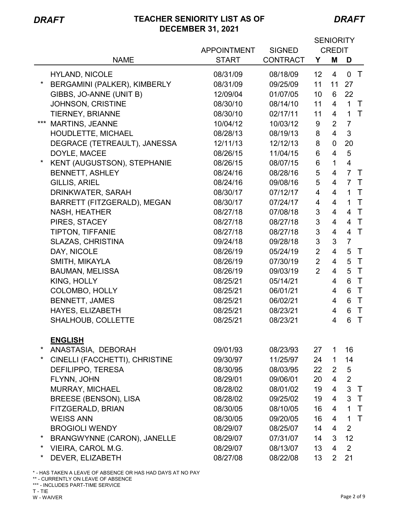*DRAFT*

|                                    |                                    |                                  | <b>SENIORITY</b><br><b>CREDIT</b> |                          |                          |
|------------------------------------|------------------------------------|----------------------------------|-----------------------------------|--------------------------|--------------------------|
| <b>NAME</b>                        | <b>APPOINTMENT</b><br><b>START</b> | <b>SIGNED</b><br><b>CONTRACT</b> | Y                                 | M                        | D                        |
|                                    |                                    |                                  |                                   |                          |                          |
| <b>HYLAND, NICOLE</b>              | 08/31/09                           | 08/18/09                         | 12 <sub>2</sub>                   | $\overline{4}$           | 0 <sub>T</sub>           |
| *<br>BERGAMINI (PALKER), KIMBERLY  | 08/31/09                           | 09/25/09                         | 11                                | 11                       | 27                       |
| GIBBS, JO-ANNE (UNIT B)            | 12/09/04                           | 01/07/05                         | 10                                | 6                        | 22                       |
| JOHNSON, CRISTINE                  | 08/30/10                           | 08/14/10                         | 11                                | $\overline{4}$           | $\mathbf{1}$<br>$\top$   |
| <b>TIERNEY, BRIANNE</b>            | 08/30/10                           | 02/17/11                         | 11                                | $\overline{4}$           | $\top$<br>$\mathbf{1}$   |
| *** MARTINS, JEANNE                | 10/04/12                           | 10/03/12                         | 9                                 | $\overline{2}$           | $\overline{7}$           |
| HOUDLETTE, MICHAEL                 | 08/28/13                           | 08/19/13                         | 8                                 | $\overline{4}$           | 3                        |
| DEGRACE (TETREAULT), JANESSA       | 12/11/13                           | 12/12/13                         | 8                                 | 0                        | 20                       |
| DOYLE, MACEE                       | 08/26/15                           | 11/04/15                         | 6                                 | $\overline{4}$           | $\sqrt{5}$               |
| KENT (AUGUSTSON), STEPHANIE        | 08/26/15                           | 08/07/15                         | 6                                 | $\mathbf{1}$             | $\overline{\mathbf{4}}$  |
| <b>BENNETT, ASHLEY</b>             | 08/24/16                           | 08/28/16                         | 5                                 | $\overline{4}$           | $\overline{7}$<br>$\top$ |
| <b>GILLIS, ARIEL</b>               | 08/24/16                           | 09/08/16                         | 5                                 | $\overline{\mathcal{A}}$ | $\overline{7}$<br>$\top$ |
| DRINKWATER, SARAH                  | 08/30/17                           | 07/12/17                         | 4                                 | $\overline{\mathcal{A}}$ | $\top$<br>$\mathbf{1}$   |
| BARRETT (FITZGERALD), MEGAN        | 08/30/17                           | 07/24/17                         | 4                                 | $\overline{4}$           | $\top$<br>$\mathbf{1}$   |
| <b>NASH, HEATHER</b>               | 08/27/18                           | 07/08/18                         | 3                                 | $\overline{\mathcal{A}}$ | $\top$<br>$\overline{4}$ |
| PIRES, STACEY                      | 08/27/18                           | 08/27/18                         | 3                                 | $\overline{4}$           | $\top$<br>$\overline{4}$ |
| <b>TIPTON, TIFFANIE</b>            | 08/27/18                           | 08/27/18                         | 3                                 | $\overline{\mathbf{4}}$  | $\top$<br>$\overline{4}$ |
| <b>SLAZAS, CHRISTINA</b>           | 09/24/18                           | 09/28/18                         | 3                                 | 3                        | $\overline{7}$           |
| DAY, NICOLE                        | 08/26/19                           | 05/24/19                         | $\overline{2}$                    | $\overline{4}$           | 5<br>$\top$              |
| SMITH, MIKAYLA                     | 08/26/19                           | 07/30/19                         | $\overline{2}$                    | $\overline{4}$           | $\top$<br>5              |
| <b>BAUMAN, MELISSA</b>             | 08/26/19                           | 09/03/19                         | $\overline{2}$                    | $\overline{4}$           | 5<br>$\top$              |
| KING, HOLLY                        | 08/25/21                           | 05/14/21                         |                                   | 4                        | $\top$<br>6              |
| <b>COLOMBO, HOLLY</b>              | 08/25/21                           | 06/01/21                         |                                   | 4                        | $\top$<br>6              |
| <b>BENNETT, JAMES</b>              | 08/25/21                           | 06/02/21                         |                                   | 4                        | $\top$<br>6              |
| HAYES, ELIZABETH                   | 08/25/21                           | 08/23/21                         |                                   | 4                        | $\mathsf{T}$<br>6        |
| SHALHOUB, COLLETTE                 | 08/25/21                           | 08/23/21                         |                                   | 4                        | 6<br>$\top$              |
|                                    |                                    |                                  |                                   |                          |                          |
| <b>ENGLISH</b>                     |                                    |                                  |                                   |                          |                          |
| *<br>ANASTASIA, DEBORAH            | 09/01/93                           | 08/23/93                         | 27                                | $\mathbf{1}$             | 16                       |
| CINELLI (FACCHETTI), CHRISTINE     | 09/30/97                           | 11/25/97                         | 24                                | $\mathbf 1$              | 14                       |
| DEFILIPPO, TERESA                  | 08/30/95                           | 08/03/95                         | 22 <sub>2</sub>                   | $\mathbf{2}^{\prime}$    | 5                        |
| FLYNN, JOHN                        | 08/29/01                           | 09/06/01                         | 20                                | $\overline{4}$           | $\overline{2}$           |
| MURRAY, MICHAEL                    | 08/28/02                           | 08/01/02                         | 19                                | $\overline{4}$           | $\mathbf{3}$<br>$\top$   |
| <b>BREESE (BENSON), LISA</b>       | 08/28/02                           | 09/25/02                         | 19                                | 4                        | 3<br>$\top$              |
| FITZGERALD, BRIAN                  | 08/30/05                           | 08/10/05                         | 16                                | 4                        | $\top$<br>$\mathbf{1}$   |
| <b>WEISS ANN</b>                   | 08/30/05                           | 09/20/05                         | 16                                | $\overline{4}$           | $\top$<br>$\mathbf{1}$   |
| <b>BROGIOLI WENDY</b>              | 08/29/07                           | 08/25/07                         | 14                                | $\overline{4}$           | 2                        |
| <b>BRANGWYNNE (CARON), JANELLE</b> | 08/29/07                           | 07/31/07                         | 14                                | 3                        | 12                       |
| *<br>VIEIRA, CAROL M.G.            | 08/29/07                           | 08/13/07                         | 13                                | $\overline{4}$           | 2                        |
| DEVER, ELIZABETH                   | 08/27/08                           | 08/22/08                         | 13                                | $\overline{2}$           | 21                       |

\* - HAS TAKEN A LEAVE OF ABSENCE OR HAS HAD DAYS AT NO PAY

\*\* - CURRENTLY ON LEAVE OF ABSENCE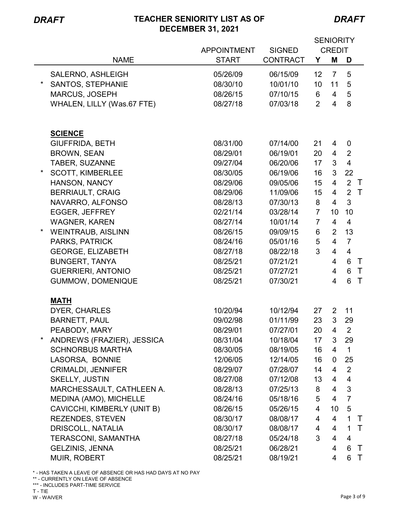*DRAFT*

|                                      |                    |                 | <b>SENIORITY</b> |                          |                |              |
|--------------------------------------|--------------------|-----------------|------------------|--------------------------|----------------|--------------|
|                                      | <b>APPOINTMENT</b> | <b>SIGNED</b>   | <b>CREDIT</b>    |                          |                |              |
| <b>NAME</b>                          | <b>START</b>       | <b>CONTRACT</b> | Y                | M                        | D              |              |
| SALERNO, ASHLEIGH                    | 05/26/09           | 06/15/09        | 12               | $\overline{7}$           | 5              |              |
| $\star$<br><b>SANTOS, STEPHANIE</b>  | 08/30/10           | 10/01/10        | 10               | 11                       | 5              |              |
| <b>MARCUS, JOSEPH</b>                | 08/26/15           | 07/10/15        | 6                | 4                        | 5              |              |
| WHALEN, LILLY (Was.67 FTE)           | 08/27/18           | 07/03/18        | $\overline{2}$   | $\overline{\mathcal{A}}$ | 8              |              |
|                                      |                    |                 |                  |                          |                |              |
|                                      |                    |                 |                  |                          |                |              |
| <b>SCIENCE</b>                       |                    |                 |                  |                          |                |              |
| <b>GIUFFRIDA, BETH</b>               | 08/31/00           | 07/14/00        | 21               | 4                        | 0              |              |
| <b>BROWN, SEAN</b>                   | 08/29/01           | 06/19/01        | 20               | 4                        | 2              |              |
| TABER, SUZANNE                       | 09/27/04           | 06/20/06        | 17               | 3                        | $\overline{4}$ |              |
| <b>SCOTT, KIMBERLEE</b>              | 08/30/05           | 06/19/06        | 16               | $\mathfrak{B}$           | 22             |              |
| HANSON, NANCY                        | 08/29/06           | 09/05/06        | 15 <sub>15</sub> | $\overline{4}$           | $\overline{2}$ | $\top$       |
| <b>BERRIAULT, CRAIG</b>              | 08/29/06           | 11/09/06        | 15               | $\overline{4}$           | 2              | $\top$       |
| NAVARRO, ALFONSO                     | 08/28/13           | 07/30/13        | 8                | $\overline{4}$           | 3              |              |
| <b>EGGER, JEFFREY</b>                | 02/21/14           | 03/28/14        | $\overline{7}$   | 10                       | 10             |              |
| <b>WAGNER, KAREN</b>                 | 08/27/14           | 10/01/14        | $\overline{7}$   | $\overline{4}$           | 4              |              |
| $\star$<br><b>WEINTRAUB, AISLINN</b> | 08/26/15           | 09/09/15        | 6                | $\overline{2}$           | 13             |              |
| PARKS, PATRICK                       | 08/24/16           | 05/01/16        | 5                | $\overline{4}$           | $\overline{7}$ |              |
| <b>GEORGE, ELIZABETH</b>             | 08/27/18           | 08/22/18        | 3                | $\overline{4}$           | $\overline{4}$ |              |
| <b>BUNGERT, TANYA</b>                | 08/25/21           | 07/21/21        |                  | $\overline{4}$           | 6              | $\top$       |
| <b>GUERRIERI, ANTONIO</b>            | 08/25/21           | 07/27/21        |                  | $\overline{4}$           | 6              | $\top$       |
| GUMMOW, DOMENIQUE                    | 08/25/21           | 07/30/21        |                  | 4                        | $6\phantom{1}$ | $\top$       |
|                                      |                    |                 |                  |                          |                |              |
| <b>MATH</b>                          |                    |                 |                  |                          |                |              |
| <b>DYER, CHARLES</b>                 | 10/20/94           | 10/12/94        | 27               | $\overline{2}$           | 11             |              |
| <b>BARNETT, PAUL</b>                 | 09/02/98           | 01/11/99        | 23               | 3                        | 29             |              |
| PEABODY, MARY                        | 08/29/01           | 07/27/01        | 20               | 4                        | $\overline{2}$ |              |
| ANDREWS (FRAZIER), JESSICA           | 08/31/04           | 10/18/04        | 17               | 3                        | 29             |              |
| <b>SCHNORBUS MARTHA</b>              | 08/30/05           | 08/19/05        | 16               | 4                        | $\mathbf{1}$   |              |
| LASORSA, BONNIE                      | 12/06/05           | 12/14/05        | 16               | 0                        | 25             |              |
| <b>CRIMALDI, JENNIFER</b>            | 08/29/07           | 07/28/07        | 14               | 4                        | $\overline{2}$ |              |
| <b>SKELLY, JUSTIN</b>                | 08/27/08           | 07/12/08        | 13               | 4                        | $\overline{4}$ |              |
| MARCHESSAULT, CATHLEEN A.            | 08/28/13           | 07/25/13        | 8                | $\overline{4}$           | 3              |              |
| MEDINA (AMO), MICHELLE               | 08/24/16           | 05/18/16        | 5                | $\overline{4}$           | $\overline{7}$ |              |
| CAVICCHI, KIMBERLY (UNIT B)          | 08/26/15           | 05/26/15        | 4                | 10                       | 5              |              |
| <b>REZENDES, STEVEN</b>              | 08/30/17           | 08/08/17        | 4                | $\overline{4}$           | $\mathbf 1$    | $\top$       |
| DRISCOLL, NATALIA                    | 08/30/17           | 08/08/17        | 4                | $\overline{4}$           | $\mathbf{1}$   | $\top$       |
| <b>TERASCONI, SAMANTHA</b>           | 08/27/18           | 05/24/18        | 3                | $\overline{4}$           | $\overline{4}$ |              |
| <b>GELZINIS, JENNA</b>               | 08/25/21           | 06/28/21        |                  | 4                        | 6              | $\mathsf{T}$ |
| <b>MUIR, ROBERT</b>                  | 08/25/21           | 08/19/21        |                  | 4                        | 6              | $\top$       |

\* - HAS TAKEN A LEAVE OF ABSENCE OR HAS HAD DAYS AT NO PAY

\*\* - CURRENTLY ON LEAVE OF ABSENCE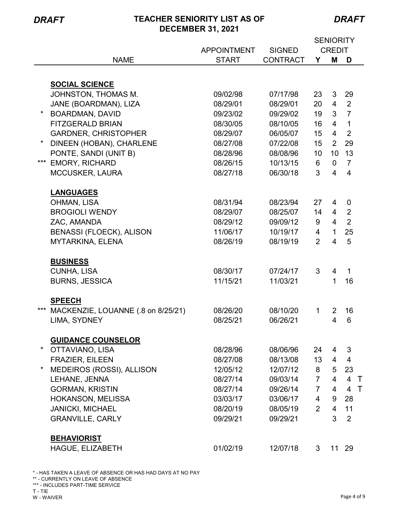*DRAFT*

|          |                                    |                    |                 | <b>SENIORITY</b> |                 |                |
|----------|------------------------------------|--------------------|-----------------|------------------|-----------------|----------------|
|          |                                    | <b>APPOINTMENT</b> | <b>SIGNED</b>   | <b>CREDIT</b>    |                 |                |
|          | <b>NAME</b>                        | <b>START</b>       | <b>CONTRACT</b> | Υ                | Μ               | D              |
|          |                                    |                    |                 |                  |                 |                |
|          | <b>SOCIAL SCIENCE</b>              |                    |                 |                  |                 |                |
|          | JOHNSTON, THOMAS M.                | 09/02/98           | 07/17/98        | 23               | 3               | 29             |
|          | JANE (BOARDMAN), LIZA              | 08/29/01           | 08/29/01        | 20               | $\overline{4}$  | 2              |
| $^\star$ | <b>BOARDMAN, DAVID</b>             | 09/23/02           | 09/29/02        | 19               | 3               | $\overline{7}$ |
|          | <b>FITZGERALD BRIAN</b>            | 08/30/05           | 08/10/05        | 16               | $\overline{4}$  | $\mathbf{1}$   |
|          | <b>GARDNER, CHRISTOPHER</b>        | 08/29/07           | 06/05/07        | 15 <sub>15</sub> | $\overline{4}$  | $\overline{2}$ |
|          | DINEEN (HOBAN), CHARLENE           | 08/27/08           | 07/22/08        | 15               | 2               | 29             |
|          | PONTE, SANDI (UNIT B)              | 08/28/96           | 08/08/96        | 10 <sup>°</sup>  | 10              | 13             |
| ***      | <b>EMORY, RICHARD</b>              | 08/26/15           | 10/13/15        | 6                | $\mathbf 0$     | $\overline{7}$ |
|          | <b>MCCUSKER, LAURA</b>             | 08/27/18           | 06/30/18        | 3                | $\overline{4}$  | $\overline{4}$ |
|          |                                    |                    |                 |                  |                 |                |
|          | <b>LANGUAGES</b>                   |                    |                 |                  |                 |                |
|          | OHMAN, LISA                        | 08/31/94           | 08/23/94        | 27               | $\overline{4}$  | $\mathbf 0$    |
|          | <b>BROGIOLI WENDY</b>              | 08/29/07           | 08/25/07        | 14               | $\overline{4}$  | $\overline{2}$ |
|          | ZAC, AMANDA                        | 08/29/12           | 09/09/12        | 9                | $\overline{4}$  | $\overline{2}$ |
|          | <b>BENASSI (FLOECK), ALISON</b>    | 11/06/17           | 10/19/17        | 4                | $\mathbf{1}$    | 25             |
|          | <b>MYTARKINA, ELENA</b>            | 08/26/19           | 08/19/19        | $\overline{2}$   | $\overline{4}$  | 5              |
|          |                                    |                    |                 |                  |                 |                |
|          | <b>BUSINESS</b>                    |                    |                 |                  |                 |                |
|          | <b>CUNHA, LISA</b>                 | 08/30/17           | 07/24/17        | 3                | $\overline{4}$  | $\mathbf{1}$   |
|          | <b>BURNS, JESSICA</b>              | 11/15/21           | 11/03/21        |                  | 1               | 16             |
|          |                                    |                    |                 |                  |                 |                |
|          | <b>SPEECH</b>                      |                    |                 |                  |                 |                |
| ***      | MACKENZIE, LOUANNE (.8 on 8/25/21) | 08/26/20           | 08/10/20        | 1                | $\overline{2}$  | 16             |
|          | LIMA, SYDNEY                       | 08/25/21           | 06/26/21        |                  | $\overline{4}$  | 6              |
|          |                                    |                    |                 |                  |                 |                |
|          | <b>GUIDANCE COUNSELOR</b>          |                    |                 |                  |                 |                |
|          | OTTAVIANO, LISA                    | 08/28/96           | 08/06/96        | 24               | 4               | 3              |
|          | <b>FRAZIER, EILEEN</b>             | 08/27/08           | 08/13/08        | 13 <sup>°</sup>  | $\overline{4}$  | $\overline{4}$ |
|          | MEDEIROS (ROSSI), ALLISON          | 12/05/12           | 12/07/12        | 8                | 5               | 23             |
|          | LEHANE, JENNA                      | 08/27/14           | 09/03/14        | $\overline{7}$   | $\overline{4}$  | 4 <sub>1</sub> |
|          | <b>GORMAN, KRISTIN</b>             | 08/27/14           | 09/26/14        | $\overline{7}$   | $\overline{4}$  | 4 <sub>1</sub> |
|          | HOKANSON, MELISSA                  | 03/03/17           | 03/06/17        | $\overline{4}$   | 9               | 28             |
|          | <b>JANICKI, MICHAEL</b>            | 08/20/19           | 08/05/19        | 2                | $\overline{4}$  | 11             |
|          | <b>GRANVILLE, CARLY</b>            | 09/29/21           | 09/29/21        |                  | 3               | $\overline{2}$ |
|          | <b>BEHAVIORIST</b>                 |                    |                 |                  |                 |                |
|          | HAGUE, ELIZABETH                   | 01/02/19           | 12/07/18        | 3                | 11 <sup>1</sup> | 29             |
|          |                                    |                    |                 |                  |                 |                |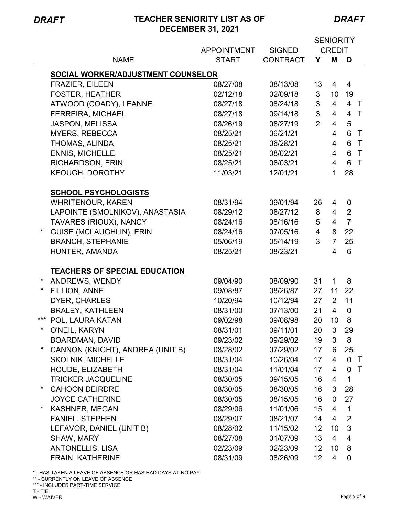÷

# *DRAFT* **TEACHER SENIORITY LIST AS OF DECEMBER 31, 2021**

*DRAFT*

|          |                                      |                    |                 | <b>SENIORITY</b> |                |                  |        |
|----------|--------------------------------------|--------------------|-----------------|------------------|----------------|------------------|--------|
|          |                                      | <b>APPOINTMENT</b> | <b>SIGNED</b>   |                  | <b>CREDIT</b>  |                  |        |
|          | <b>NAME</b>                          | <b>START</b>       | <b>CONTRACT</b> | Υ                | M              | D                |        |
|          | SOCIAL WORKER/ADJUSTMENT COUNSELOR   |                    |                 |                  |                |                  |        |
|          | <b>FRAZIER, EILEEN</b>               | 08/27/08           | 08/13/08        | 13               | 4              | 4                |        |
|          | <b>FOSTER, HEATHER</b>               | 02/12/18           | 02/09/18        | 3                | 10             | 19               |        |
|          | ATWOOD (COADY), LEANNE               | 08/27/18           | 08/24/18        | 3                | $\overline{4}$ | $\overline{4}$   | $\top$ |
|          | <b>FERREIRA, MICHAEL</b>             | 08/27/18           | 09/14/18        | 3                | $\overline{4}$ | $\overline{4}$   | $\top$ |
|          | <b>JASPON, MELISSA</b>               | 08/26/19           | 08/27/19        | $\overline{2}$   | 4              | 5                |        |
|          | <b>MYERS, REBECCA</b>                | 08/25/21           | 06/21/21        |                  | 4              | 6                | $\top$ |
|          | THOMAS, ALINDA                       | 08/25/21           | 06/28/21        |                  | 4              | 6                | $\top$ |
|          | <b>ENNIS, MICHELLE</b>               | 08/25/21           | 08/02/21        |                  | 4              | 6                | $\top$ |
|          | <b>RICHARDSON, ERIN</b>              | 08/25/21           | 08/03/21        |                  | 4              | 6                | $\top$ |
|          | <b>KEOUGH, DOROTHY</b>               | 11/03/21           | 12/01/21        |                  | $\mathbf{1}$   | 28               |        |
|          |                                      |                    |                 |                  |                |                  |        |
|          | <b>SCHOOL PSYCHOLOGISTS</b>          |                    |                 |                  |                |                  |        |
|          | <b>WHRITENOUR, KAREN</b>             | 08/31/94           | 09/01/94        | 26               | 4              | $\boldsymbol{0}$ |        |
|          | LAPOINTE (SMOLNIKOV), ANASTASIA      | 08/29/12           | 08/27/12        | 8                | $\overline{4}$ | $\overline{2}$   |        |
|          | TAVARES (RIOUX), NANCY               | 08/24/16           | 08/16/16        | 5                | $\overline{4}$ | $\overline{7}$   |        |
|          | GUISE (MCLAUGHLIN), ERIN             | 08/24/16           | 07/05/16        | 4                | 8              | 22               |        |
|          | <b>BRANCH, STEPHANIE</b>             | 05/06/19           | 05/14/19        | 3                | $\overline{7}$ | 25               |        |
|          | HUNTER, AMANDA                       | 08/25/21           | 08/23/21        |                  | 4              | 6                |        |
|          |                                      |                    |                 |                  |                |                  |        |
|          | <b>TEACHERS OF SPECIAL EDUCATION</b> |                    |                 |                  |                |                  |        |
| $\ast$   | ANDREWS, WENDY                       | 09/04/90           | 08/09/90        | 31               | $\mathbf{1}$   | 8                |        |
| $^\star$ | <b>FILLION, ANNE</b>                 | 09/08/87           | 08/26/87        | 27               | 11             | 22               |        |
|          | <b>DYER, CHARLES</b>                 | 10/20/94           | 10/12/94        | 27               | $\overline{2}$ | 11               |        |
|          | <b>BRALEY, KATHLEEN</b>              | 08/31/00           | 07/13/00        | 21               | $\overline{4}$ | $\mathbf 0$      |        |
|          | *** POL, LAURA KATAN                 | 09/02/98           | 09/08/98        | 20               | 10             | 8                |        |
| *        | O'NEIL, KARYN                        | 08/31/01           | 09/11/01        | 20               | 3              | 29               |        |
|          | <b>BOARDMAN, DAVID</b>               | 09/23/02           | 09/29/02        | 19               | 3              | 8                |        |
| $\ast$   | CANNON (KNIGHT), ANDREA (UNIT B)     | 08/28/02           | 07/29/02        | 17               | 6              | 25               |        |
|          | <b>SKOLNIK, MICHELLE</b>             | 08/31/04           | 10/26/04        | 17               | $\overline{4}$ | $\mathbf 0$      | $\top$ |
|          | HOUDE, ELIZABETH                     | 08/31/04           | 11/01/04        | 17               | 4              | $\mathbf 0$      | $\top$ |
|          | <b>TRICKER JACQUELINE</b>            | 08/30/05           | 09/15/05        | 16               | 4              | 1                |        |
| *        | <b>CAHOON DEIRDRE</b>                | 08/30/05           | 08/30/05        | 16               | 3              | 28               |        |
|          | <b>JOYCE CATHERINE</b>               | 08/30/05           | 08/15/05        | 16               | 0              | 27               |        |
| *        | <b>KASHNER, MEGAN</b>                | 08/29/06           | 11/01/06        | 15               | 4              | $\mathbf{1}$     |        |
|          | <b>FANIEL, STEPHEN</b>               | 08/29/07           | 08/21/07        | 14               | 4              | $\overline{2}$   |        |
|          | LEFAVOR, DANIEL (UNIT B)             | 08/28/02           | 11/15/02        | 12 <sup>2</sup>  | 10             | 3                |        |
|          | SHAW, MARY                           | 08/27/08           | 01/07/09        | 13               | 4              | 4                |        |
|          | <b>ANTONELLIS, LISA</b>              | 02/23/09           | 02/23/09        | 12 <sup>2</sup>  | 10             | 8                |        |
|          | <b>FRAIN, KATHERINE</b>              | 08/31/09           | 08/26/09        | 12               | 4              | 0                |        |

\* - HAS TAKEN A LEAVE OF ABSENCE OR HAS HAD DAYS AT NO PAY

\*\* - CURRENTLY ON LEAVE OF ABSENCE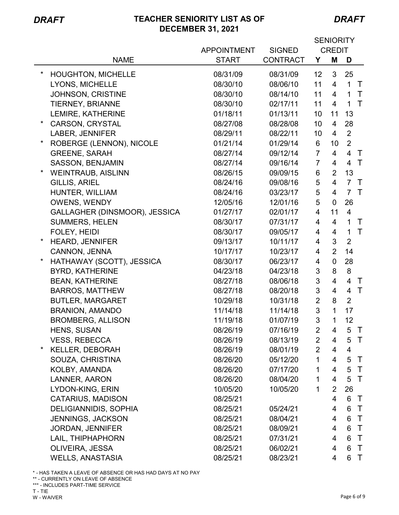*DRAFT*

|                                       |                    |                 |                | <b>SENIORITY</b>         |                |              |
|---------------------------------------|--------------------|-----------------|----------------|--------------------------|----------------|--------------|
|                                       | <b>APPOINTMENT</b> | <b>SIGNED</b>   | <b>CREDIT</b>  |                          |                |              |
| <b>NAME</b>                           | <b>START</b>       | <b>CONTRACT</b> | Y              | M                        | D              |              |
| $^\star$<br><b>HOUGHTON, MICHELLE</b> | 08/31/09           | 08/31/09        | 12             | 3                        | 25             |              |
| LYONS, MICHELLE                       | 08/30/10           | 08/06/10        | 11             | $\overline{4}$           | $\mathbf{1}$   | $\top$       |
| JOHNSON, CRISTINE                     | 08/30/10           | 08/14/10        | 11             | 4                        | $\mathbf{1}$   | $\top$       |
| TIERNEY, BRIANNE                      | 08/30/10           | 02/17/11        | 11             | $\overline{4}$           | $\mathbf{1}$   | $\top$       |
| LEMIRE, KATHERINE                     | 01/18/11           | 01/13/11        | 10             | 11                       | 13             |              |
| $^\star$<br><b>CARSON, CRYSTAL</b>    | 08/27/08           | 08/28/08        | 10             | $\overline{4}$           | 28             |              |
| LABER, JENNIFER                       | 08/29/11           | 08/22/11        | 10             | 4                        | $\overline{2}$ |              |
| $^\star$<br>ROBERGE (LENNON), NICOLE  | 01/21/14           | 01/29/14        | 6              | 10                       | $\overline{2}$ |              |
| <b>GREENE, SARAH</b>                  | 08/27/14           | 09/12/14        | $\overline{7}$ | $\overline{4}$           | $\overline{4}$ | $\top$       |
| SASSON, BENJAMIN                      | 08/27/14           | 09/16/14        | $\overline{7}$ | 4                        | 4 T            |              |
| <b>WEINTRAUB, AISLINN</b>             | 08/26/15           | 09/09/15        | $\,6$          | $\overline{2}$           | 13             |              |
| <b>GILLIS, ARIEL</b>                  | 08/24/16           | 09/08/16        | 5              | $\overline{4}$           | $\overline{7}$ | $\top$       |
| HUNTER, WILLIAM                       | 08/24/16           | 03/23/17        | 5              | $\overline{4}$           | $\overline{7}$ | $\top$       |
| <b>OWENS, WENDY</b>                   | 12/05/16           | 12/01/16        | 5              | $\mathbf 0$              | 26             |              |
| GALLAGHER (DINSMOOR), JESSICA         | 01/27/17           | 02/01/17        | 4              | 11                       | $\overline{4}$ |              |
| <b>SUMMERS, HELEN</b>                 | 08/30/17           | 07/31/17        | 4              | $\overline{4}$           | $\mathbf{1}$   | $\top$       |
| FOLEY, HEIDI                          | 08/30/17           | 09/05/17        | 4              | $\overline{4}$           | $\mathbf{1}$   | $\mathsf{T}$ |
| <b>HEARD, JENNIFER</b>                | 09/13/17           | 10/11/17        | 4              | 3                        | $\overline{2}$ |              |
| CANNON, JENNA                         | 10/17/17           | 10/23/17        | 4              | $\overline{2}$           | 14             |              |
| $^\star$<br>HATHAWAY (SCOTT), JESSICA | 08/30/17           | 06/23/17        | 4              | $\pmb{0}$                | 28             |              |
| <b>BYRD, KATHERINE</b>                | 04/23/18           | 04/23/18        | $\sqrt{3}$     | 8                        | 8              |              |
| <b>BEAN, KATHERINE</b>                | 08/27/18           | 08/06/18        | 3              | $\overline{4}$           | $\overline{4}$ | $\top$       |
| <b>BARROS, MATTHEW</b>                | 08/27/18           | 08/20/18        | $\mathfrak{S}$ | $\overline{4}$           | $\overline{4}$ | $\top$       |
| <b>BUTLER, MARGARET</b>               | 10/29/18           | 10/31/18        | $\overline{2}$ | 8                        | $\overline{2}$ |              |
| <b>BRANION, AMANDO</b>                | 11/14/18           | 11/14/18        | $\mathfrak{S}$ | $\mathbf{1}$             | 17             |              |
| <b>BROMBERG, ALLISON</b>              | 11/19/18           | 01/07/19        | 3              | $\mathbf{1}$             | 12             |              |
| HENS, SUSAN                           | 08/26/19           | 07/16/19        | $\overline{2}$ | $\overline{\mathcal{A}}$ | 5              | $\top$       |
| <b>VESS, REBECCA</b>                  | 08/26/19           | 08/13/19        | $\overline{2}$ | 4                        | 5              | $\top$       |
| *<br><b>KELLER, DEBORAH</b>           | 08/26/19           | 08/01/19        | $\overline{2}$ | 4                        | 4              |              |
| SOUZA, CHRISTINA                      | 08/26/20           | 05/12/20        | 1              | 4                        | 5              | $\top$       |
| KOLBY, AMANDA                         | 08/26/20           | 07/17/20        | 1              | 4                        | 5              | $\top$       |
| LANNER, AARON                         | 08/26/20           | 08/04/20        | $\mathbf 1$    | 4                        | 5              | $\top$       |
| LYDON-KING, ERIN                      | 10/05/20           | 10/05/20        | 1              | $\overline{2}$           | 26             |              |
| <b>CATARIUS, MADISON</b>              | 08/25/21           |                 |                | 4                        | 6              | $\top$       |
| <b>DELIGIANNIDIS, SOPHIA</b>          | 08/25/21           | 05/24/21        |                | 4                        | 6              | $\top$       |
| JENNINGS, JACKSON                     | 08/25/21           | 08/04/21        |                | 4                        | 6              | $\top$       |
| <b>JORDAN, JENNIFER</b>               | 08/25/21           | 08/09/21        |                | 4                        | 6              | $\top$       |
| LAIL, THIPHAPHORN                     | 08/25/21           | 07/31/21        |                | 4                        | 6              | $\top$       |
| OLIVEIRA, JESSA                       | 08/25/21           | 06/02/21        |                | 4                        | 6              | $\top$       |
| <b>WELLS, ANASTASIA</b>               | 08/25/21           | 08/23/21        |                | 4                        | 6              | $\top$       |

\* - HAS TAKEN A LEAVE OF ABSENCE OR HAS HAD DAYS AT NO PAY

\*\* - CURRENTLY ON LEAVE OF ABSENCE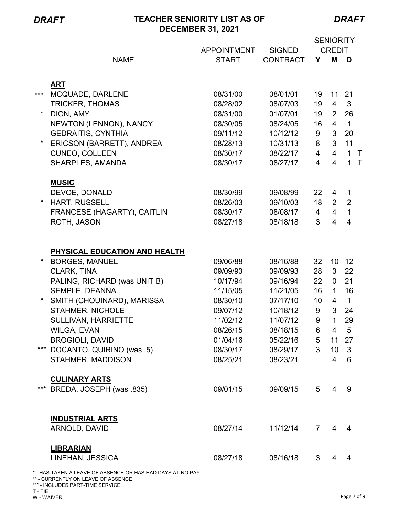*DRAFT*

|         |                                                                                                  |                    |                 |                 |                 | <b>SENIORITY</b> |        |
|---------|--------------------------------------------------------------------------------------------------|--------------------|-----------------|-----------------|-----------------|------------------|--------|
|         |                                                                                                  | <b>APPOINTMENT</b> | <b>SIGNED</b>   |                 | <b>CREDIT</b>   |                  |        |
|         | <b>NAME</b>                                                                                      | <b>START</b>       | <b>CONTRACT</b> | Y               | M               | D                |        |
|         |                                                                                                  |                    |                 |                 |                 |                  |        |
|         | <b>ART</b>                                                                                       |                    |                 |                 |                 |                  |        |
| $***$   | MCQUADE, DARLENE                                                                                 | 08/31/00           | 08/01/01        | 19              | 11              | 21               |        |
|         | <b>TRICKER, THOMAS</b>                                                                           | 08/28/02           | 08/07/03        | 19              | $\overline{4}$  | 3                |        |
|         | DION, AMY                                                                                        | 08/31/00           | 01/07/01        | 19              | $\overline{2}$  | 26               |        |
|         | NEWTON (LENNON), NANCY                                                                           | 08/30/05           | 08/24/05        | 16              | $\overline{4}$  | $\mathbf{1}$     |        |
|         | <b>GEDRAITIS, CYNTHIA</b>                                                                        | 09/11/12           | 10/12/12        | 9               | 3 <sup>1</sup>  | 20               |        |
| $\star$ | ERICSON (BARRETT), ANDREA                                                                        | 08/28/13           | 10/31/13        | 8               | $\mathbf{3}$    | 11               |        |
|         | <b>CUNEO, COLLEEN</b>                                                                            | 08/30/17           | 08/22/17        | $\overline{4}$  | $\overline{4}$  | $\mathbf{1}$     | $\top$ |
|         | SHARPLES, AMANDA                                                                                 | 08/30/17           | 08/27/17        | 4               | $\overline{4}$  | 1                | $\top$ |
|         |                                                                                                  |                    |                 |                 |                 |                  |        |
|         | <b>MUSIC</b><br>DEVOE, DONALD                                                                    | 08/30/99           | 09/08/99        | 22              | 4               | 1                |        |
|         | HART, RUSSELL                                                                                    | 08/26/03           | 09/10/03        | 18              | $\overline{2}$  | $\overline{2}$   |        |
|         | FRANCESE (HAGARTY), CAITLIN                                                                      | 08/30/17           | 08/08/17        | $\overline{4}$  | $\overline{4}$  | 1                |        |
|         | ROTH, JASON                                                                                      | 08/27/18           | 08/18/18        | 3               | $\overline{4}$  | $\overline{4}$   |        |
|         |                                                                                                  |                    |                 |                 |                 |                  |        |
|         |                                                                                                  |                    |                 |                 |                 |                  |        |
|         | PHYSICAL EDUCATION AND HEALTH                                                                    |                    |                 |                 |                 |                  |        |
|         | <b>BORGES, MANUEL</b>                                                                            | 09/06/88           | 08/16/88        | 32              | 10              | 12               |        |
|         | CLARK, TINA                                                                                      | 09/09/93           | 09/09/93        | 28              | 3 <sup>1</sup>  | 22               |        |
|         | PALING, RICHARD (was UNIT B)                                                                     | 10/17/94           | 09/16/94        | 22              | $\mathbf 0$     | 21               |        |
|         | SEMPLE, DEANNA                                                                                   | 11/15/05           | 11/21/05        | 16              | $\mathbf{1}$    | 16               |        |
|         | SMITH (CHOUINARD), MARISSA                                                                       | 08/30/10           | 07/17/10        | 10 <sup>°</sup> | $\overline{4}$  | $\mathbf{1}$     |        |
|         | STAHMER, NICHOLE                                                                                 | 09/07/12           | 10/18/12        | 9               | 3 <sup>1</sup>  | 24               |        |
|         | <b>SULLIVAN, HARRIETTE</b>                                                                       | 11/02/12           | 11/07/12        | 9               | 1               | 29               |        |
|         | <b>WILGA, EVAN</b>                                                                               | 08/26/15           | 08/18/15        | 6               | $\overline{4}$  | 5                |        |
|         | <b>BROGIOLI, DAVID</b>                                                                           | 01/04/16           | 05/22/16        | 5 <sub>5</sub>  | 11 27           |                  |        |
| $***$   | DOCANTO, QUIRINO (was .5)                                                                        | 08/30/17           | 08/29/17        | 3 <sup>1</sup>  | 10 <sup>1</sup> | $\overline{3}$   |        |
|         | STAHMER, MADDISON                                                                                | 08/25/21           | 08/23/21        |                 | $\overline{4}$  | 6                |        |
|         |                                                                                                  |                    |                 |                 |                 |                  |        |
|         | <b>CULINARY ARTS</b>                                                                             |                    |                 |                 |                 |                  |        |
|         | *** BREDA, JOSEPH (was .835)                                                                     | 09/01/15           | 09/09/15        | 5 <sup>5</sup>  | 4               | 9                |        |
|         |                                                                                                  |                    |                 |                 |                 |                  |        |
|         | <b>INDUSTRIAL ARTS</b>                                                                           |                    |                 |                 |                 |                  |        |
|         | ARNOLD, DAVID                                                                                    | 08/27/14           | 11/12/14        | $\mathbf{7}$    | 4               | 4                |        |
|         |                                                                                                  |                    |                 |                 |                 |                  |        |
|         | <b>LIBRARIAN</b>                                                                                 |                    |                 |                 |                 |                  |        |
|         | LINEHAN, JESSICA                                                                                 | 08/27/18           | 08/16/18        | 3               | 4               | 4                |        |
|         | * - HAS TAKEN A LEAVE OF ABSENCE OR HAS HAD DAYS AT NO PAY<br>** - CURRENTLY ON LEAVE OF ABSENCE |                    |                 |                 |                 |                  |        |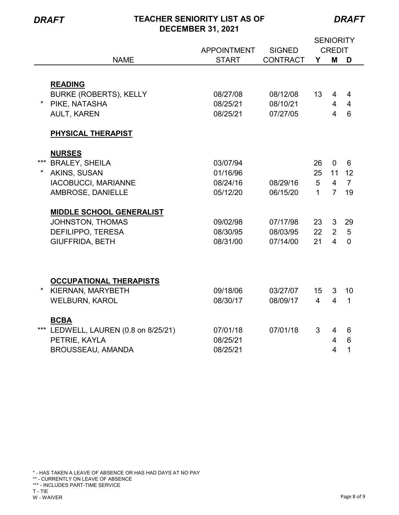Ē,

# *DRAFT* **TEACHER SENIORITY LIST AS OF DECEMBER 31, 2021**

*DRAFT*

|         |                                  |                    |                 | <b>SENIORITY</b> |                         |                 |
|---------|----------------------------------|--------------------|-----------------|------------------|-------------------------|-----------------|
|         |                                  | <b>APPOINTMENT</b> | <b>SIGNED</b>   | <b>CREDIT</b>    |                         |                 |
|         | <b>NAME</b>                      | <b>START</b>       | <b>CONTRACT</b> | Y                | M                       | D               |
|         |                                  |                    |                 |                  |                         |                 |
|         | <b>READING</b>                   |                    |                 |                  |                         |                 |
|         | <b>BURKE (ROBERTS), KELLY</b>    | 08/27/08           | 08/12/08        | 13 <sup>2</sup>  | 4                       | 4               |
| $\star$ | PIKE, NATASHA                    | 08/25/21           | 08/10/21        |                  | 4                       | $\overline{4}$  |
|         | <b>AULT, KAREN</b>               | 08/25/21           | 07/27/05        |                  | $\overline{4}$          | 6               |
|         |                                  |                    |                 |                  |                         |                 |
|         | PHYSICAL THERAPIST               |                    |                 |                  |                         |                 |
|         |                                  |                    |                 |                  |                         |                 |
|         | <b>NURSES</b>                    |                    |                 |                  |                         |                 |
| ***     | <b>BRALEY, SHEILA</b>            | 03/07/94           |                 | 26               | $\mathbf 0$             | 6               |
| $\star$ | AKINS, SUSAN                     | 01/16/96           |                 | 25               | 11                      | 12              |
|         | <b>IACOBUCCI, MARIANNE</b>       | 08/24/16           | 08/29/16        | 5                | $\overline{4}$          | $\overline{7}$  |
|         | AMBROSE, DANIELLE                | 05/12/20           | 06/15/20        | $\mathbf{1}$     | $\overline{7}$          | 19              |
|         |                                  |                    |                 |                  |                         |                 |
|         | <b>MIDDLE SCHOOL GENERALIST</b>  |                    |                 |                  |                         |                 |
|         | JOHNSTON, THOMAS                 | 09/02/98           | 07/17/98        | 23               | 3 <sup>1</sup>          | 29              |
|         | <b>DEFILIPPO, TERESA</b>         | 08/30/95           | 08/03/95        | 22               | 2                       | 5               |
|         | <b>GIUFFRIDA, BETH</b>           | 08/31/00           | 07/14/00        | 21               | $\overline{\mathbf{4}}$ | $\overline{0}$  |
|         |                                  |                    |                 |                  |                         |                 |
|         |                                  |                    |                 |                  |                         |                 |
|         |                                  |                    |                 |                  |                         |                 |
|         | <b>OCCUPATIONAL THERAPISTS</b>   |                    |                 |                  |                         |                 |
| $\star$ | KIERNAN, MARYBETH                | 09/18/06           | 03/27/07        | 15               | 3                       | 10              |
|         | <b>WELBURN, KAROL</b>            | 08/30/17           | 08/09/17        | $\overline{4}$   | $\overline{4}$          | $\mathbf{1}$    |
|         |                                  |                    |                 |                  |                         |                 |
| ***     | <b>BCBA</b>                      |                    |                 |                  |                         |                 |
|         | LEDWELL, LAUREN (0.8 on 8/25/21) | 07/01/18           | 07/01/18        | 3                | 4                       | 6               |
|         | PETRIE, KAYLA                    | 08/25/21           |                 |                  | $\overline{4}$          | $6\phantom{1}6$ |
|         | BROUSSEAU, AMANDA                | 08/25/21           |                 |                  | $\overline{4}$          | 1               |

\* - HAS TAKEN A LEAVE OF ABSENCE OR HAS HAD DAYS AT NO PAY

\*\* - CURRENTLY ON LEAVE OF ABSENCE

\*\*\* - INCLUDES PART-TIME SERVICE

T - TIE